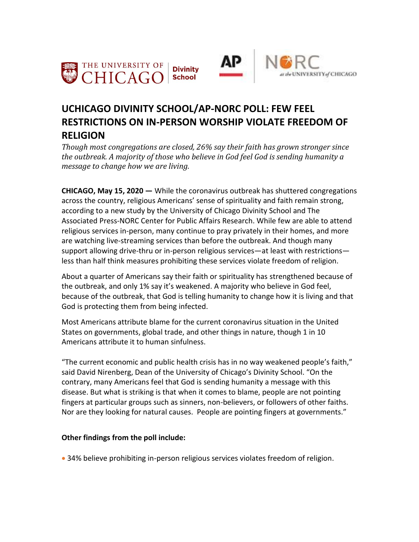



# **UCHICAGO DIVINITY SCHOOL/AP-NORC POLL: FEW FEEL RESTRICTIONS ON IN-PERSON WORSHIP VIOLATE FREEDOM OF RELIGION**

*Though most congregations are closed, 26% say their faith has grown stronger since the outbreak. A majority of those who believe in God feel God is sending humanity a message to change how we are living.*

**CHICAGO, May 15, 2020 —** While the coronavirus outbreak has shuttered congregations across the country, religious Americans' sense of spirituality and faith remain strong, according to a new study by the University of Chicago Divinity School and The Associated Press-NORC Center for Public Affairs Research. While few are able to attend religious services in-person, many continue to pray privately in their homes, and more are watching live-streaming services than before the outbreak. And though many support allowing drive-thru or in-person religious services—at least with restrictions less than half think measures prohibiting these services violate freedom of religion.

About a quarter of Americans say their faith or spirituality has strengthened because of the outbreak, and only 1% say it's weakened. A majority who believe in God feel, because of the outbreak, that God is telling humanity to change how it is living and that God is protecting them from being infected.

Most Americans attribute blame for the current coronavirus situation in the United States on governments, global trade, and other things in nature, though 1 in 10 Americans attribute it to human sinfulness.

"The current economic and public health crisis has in no way weakened people's faith," said David Nirenberg, Dean of the University of Chicago's Divinity School. "On the contrary, many Americans feel that God is sending humanity a message with this disease. But what is striking is that when it comes to blame, people are not pointing fingers at particular groups such as sinners, non-believers, or followers of other faiths. Nor are they looking for natural causes. People are pointing fingers at governments."

# **Other findings from the poll include:**

34% believe prohibiting in-person religious services violates freedom of religion.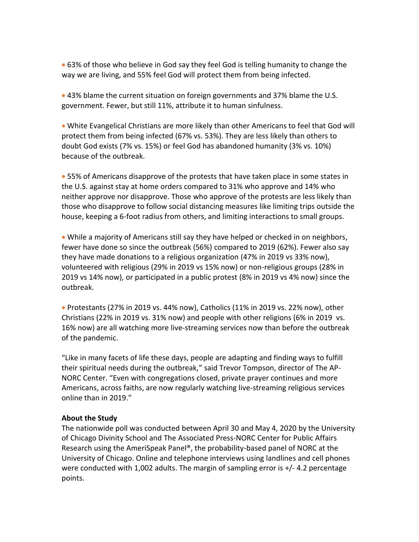63% of those who believe in God say they feel God is telling humanity to change the way we are living, and 55% feel God will protect them from being infected.

• 43% blame the current situation on foreign governments and 37% blame the U.S. government. Fewer, but still 11%, attribute it to human sinfulness.

 White Evangelical Christians are more likely than other Americans to feel that God will protect them from being infected (67% vs. 53%). They are less likely than others to doubt God exists (7% vs. 15%) or feel God has abandoned humanity (3% vs. 10%) because of the outbreak.

• 55% of Americans disapprove of the protests that have taken place in some states in the U.S. against stay at home orders compared to 31% who approve and 14% who neither approve nor disapprove. Those who approve of the protests are less likely than those who disapprove to follow social distancing measures like limiting trips outside the house, keeping a 6-foot radius from others, and limiting interactions to small groups.

 While a majority of Americans still say they have helped or checked in on neighbors, fewer have done so since the outbreak (56%) compared to 2019 (62%). Fewer also say they have made donations to a religious organization (47% in 2019 vs 33% now), volunteered with religious (29% in 2019 vs 15% now) or non-religious groups (28% in 2019 vs 14% now), or participated in a public protest (8% in 2019 vs 4% now) since the outbreak.

 Protestants (27% in 2019 vs. 44% now), Catholics (11% in 2019 vs. 22% now), other Christians (22% in 2019 vs. 31% now) and people with other religions (6% in 2019 vs. 16% now) are all watching more live-streaming services now than before the outbreak of the pandemic.

"Like in many facets of life these days, people are adapting and finding ways to fulfill their spiritual needs during the outbreak," said Trevor Tompson, director of The AP-NORC Center. "Even with congregations closed, private prayer continues and more Americans, across faiths, are now regularly watching live-streaming religious services online than in 2019."

## **About the Study**

The nationwide poll was conducted between April 30 and May 4, 2020 by the University of Chicago Divinity School and The Associated Press-NORC Center for Public Affairs Research using the AmeriSpeak Panel®, the probability-based panel of NORC at the University of Chicago. Online and telephone interviews using landlines and cell phones were conducted with 1,002 adults. The margin of sampling error is +/- 4.2 percentage points.